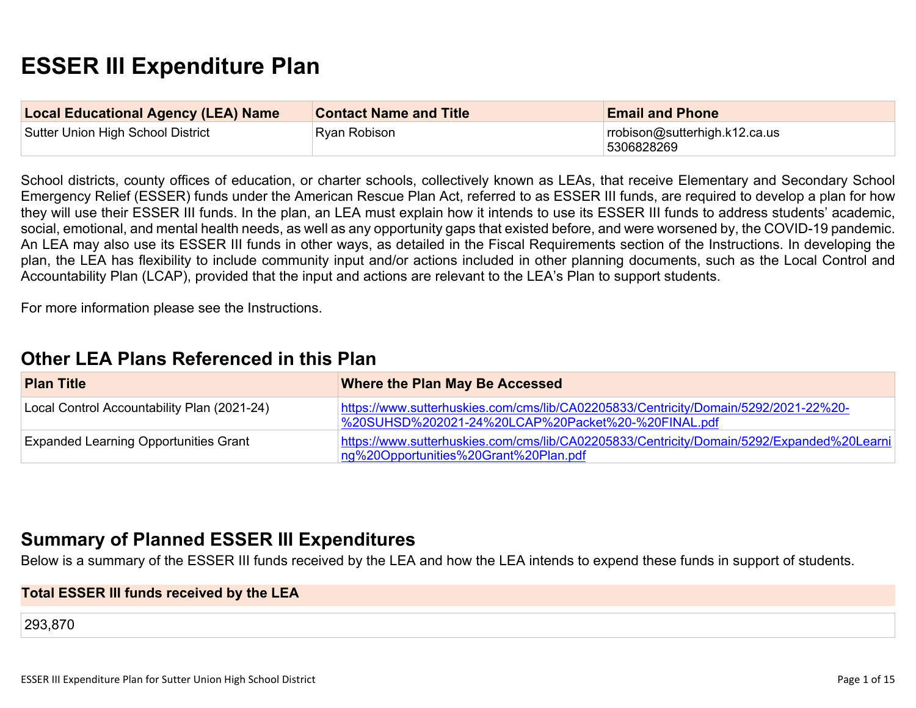# **ESSER III Expenditure Plan**

| <b>Local Educational Agency (LEA) Name</b> | <b>Contact Name and Title</b> | <b>Email and Phone</b>                      |
|--------------------------------------------|-------------------------------|---------------------------------------------|
| Sutter Union High School District          | Ryan Robison                  | rrobison@sutterhigh.k12.ca.us<br>5306828269 |

School districts, county offices of education, or charter schools, collectively known as LEAs, that receive Elementary and Secondary School Emergency Relief (ESSER) funds under the American Rescue Plan Act, referred to as ESSER III funds, are required to develop a plan for how they will use their ESSER III funds. In the plan, an LEA must explain how it intends to use its ESSER III funds to address students' academic, social, emotional, and mental health needs, as well as any opportunity gaps that existed before, and were worsened by, the COVID-19 pandemic. An LEA may also use its ESSER III funds in other ways, as detailed in the Fiscal Requirements section of the Instructions. In developing the plan, the LEA has flexibility to include community input and/or actions included in other planning documents, such as the Local Control and Accountability Plan (LCAP), provided that the input and actions are relevant to the LEA's Plan to support students.

For more information please see the Instructions.

## **Other LEA Plans [Referenced](#page-9-0) in this Plan**

| <b>Plan Title</b>                            | Where the Plan May Be Accessed                                                                                                            |
|----------------------------------------------|-------------------------------------------------------------------------------------------------------------------------------------------|
| Local Control Accountability Plan (2021-24)  | https://www.sutterhuskies.com/cms/lib/CA02205833/Centricity/Domain/5292/2021-22%20-<br>%20SUHSD%202021-24%20LCAP%20Packet%20-%20FINAL.pdf |
| <b>Expanded Learning Opportunities Grant</b> | https://www.sutterhuskies.com/cms/lib/CA02205833/Centricity/Domain/5292/Expanded%20Learni<br>ng%20Opportunities%20Grant%20Plan.pdf        |

## **Summary of Planned ESSER III [Expenditures](#page-9-1)**

Below is a summary of the ESSER III funds received by the LEA and how the LEA intends to expend these funds in support of students.

#### **Total ESSER III funds received by the LEA**

293,870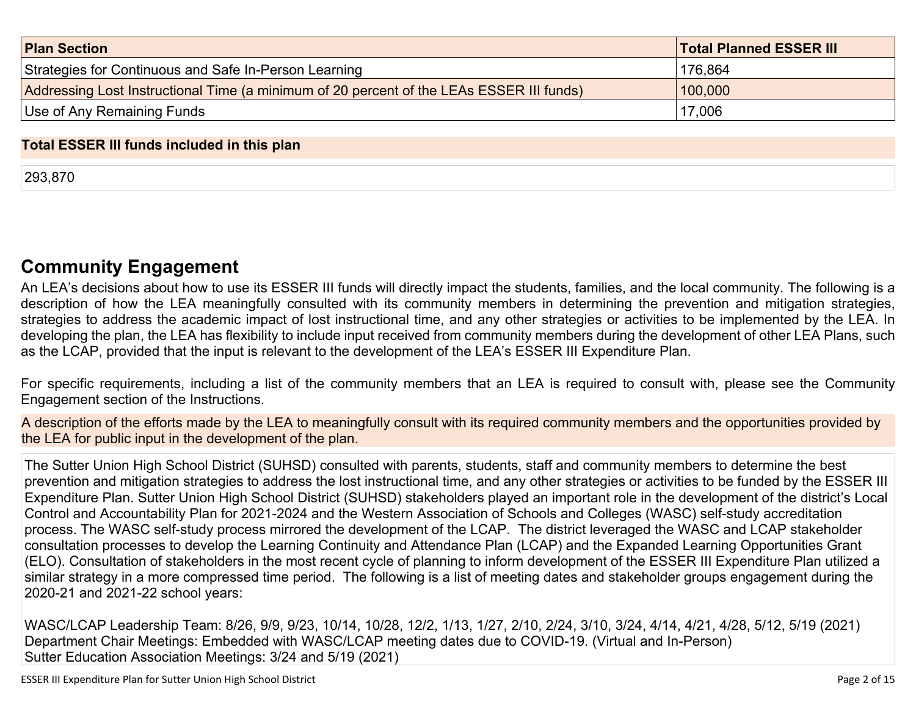| <b>Plan Section</b>                                                                      | <b>Total Planned ESSER III</b> |
|------------------------------------------------------------------------------------------|--------------------------------|
| Strategies for Continuous and Safe In-Person Learning                                    | 176,864                        |
| Addressing Lost Instructional Time (a minimum of 20 percent of the LEAs ESSER III funds) | 100,000                        |
| Use of Any Remaining Funds                                                               | 17,006                         |

#### **Total ESSER III funds included in this plan**

293,870

## **Community [Engagement](#page-10-0)**

An LEA's decisions about how to use its ESSER III funds will directly impact the students, families, and the local community. The following is a description of how the LEA meaningfully consulted with its community members in determining the prevention and mitigation strategies, strategies to address the academic impact of lost instructional time, and any other strategies or activities to be implemented by the LEA. In developing the plan, the LEA has flexibility to include input received from community members during the development of other LEA Plans, such as the LCAP, provided that the input is relevant to the development of the LEA's ESSER III Expenditure Plan.

For specific requirements, including a list of the community members that an LEA is required to consult with, please see the Community Engagement section of the Instructions.

A description of the efforts made by the LEA to meaningfully consult with its required community members and the opportunities provided by the LEA for public input in the development of the plan.

The Sutter Union High School District (SUHSD) consulted with parents, students, staff and community members to determine the best prevention and mitigation strategies to address the lost instructional time, and any other strategies or activities to be funded by the ESSER III Expenditure Plan. Sutter Union High School District (SUHSD) stakeholders played an important role in the development of the district's Local Control and Accountability Plan for 2021-2024 and the Western Association of Schools and Colleges (WASC) self-study accreditation process. The WASC self-study process mirrored the development of the LCAP. The district leveraged the WASC and LCAP stakeholder consultation processes to develop the Learning Continuity and Attendance Plan (LCAP) and the Expanded Learning Opportunities Grant (ELO). Consultation of stakeholders in the most recent cycle of planning to inform development of the ESSER III Expenditure Plan utilized a similar strategy in a more compressed time period. The following is a list of meeting dates and stakeholder groups engagement during the 2020-21 and 2021-22 school years:

WASC/LCAP Leadership Team: 8/26, 9/9, 9/23, 10/14, 10/28, 12/2, 1/13, 1/27, 2/10, 2/24, 3/10, 3/24, 4/14, 4/21, 4/28, 5/12, 5/19 (2021) Department Chair Meetings: Embedded with WASC/LCAP meeting dates due to COVID-19. (Virtual and In-Person) Sutter Education Association Meetings: 3/24 and 5/19 (2021)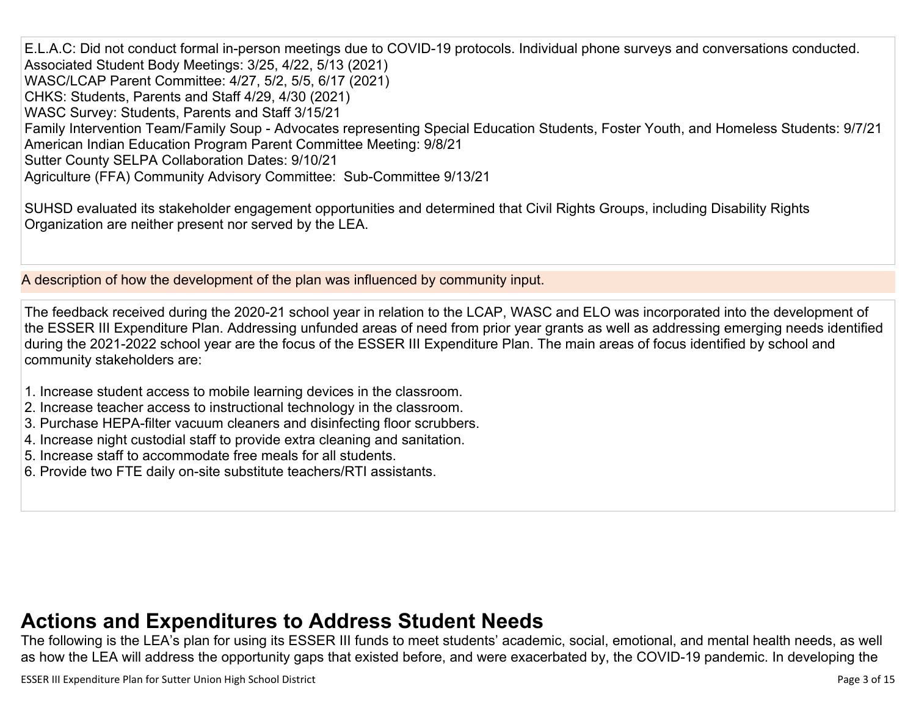E.L.A.C: Did not conduct formal in-person meetings due to COVID-19 protocols. Individual phone surveys and conversations conducted. Associated Student Body Meetings: 3/25, 4/22, 5/13 (2021) WASC/LCAP Parent Committee: 4/27, 5/2, 5/5, 6/17 (2021) CHKS: Students, Parents and Staff 4/29, 4/30 (2021) WASC Survey: Students, Parents and Staff 3/15/21 Family Intervention Team/Family Soup - Advocates representing Special Education Students, Foster Youth, and Homeless Students: 9/7/21 American Indian Education Program Parent Committee Meeting: 9/8/21 Sutter County SELPA Collaboration Dates: 9/10/21 Agriculture (FFA) Community Advisory Committee: Sub-Committee 9/13/21

SUHSD evaluated its stakeholder engagement opportunities and determined that Civil Rights Groups, including Disability Rights Organization are neither present nor served by the LEA.

A description of how the development of the plan was influenced by community input.

The feedback received during the 2020-21 school year in relation to the LCAP, WASC and ELO was incorporated into the development of the ESSER III Expenditure Plan. Addressing unfunded areas of need from prior year grants as well as addressing emerging needs identified during the 2021-2022 school year are the focus of the ESSER III Expenditure Plan. The main areas of focus identified by school and community stakeholders are:

- 1. Increase student access to mobile learning devices in the classroom.
- 2. Increase teacher access to instructional technology in the classroom.
- 3. Purchase HEPA-filter vacuum cleaners and disinfecting floor scrubbers.
- 4. Increase night custodial staff to provide extra cleaning and sanitation.
- 5. Increase staff to accommodate free meals for all students.
- 6. Provide two FTE daily on-site substitute teachers/RTI assistants.

# **Actions and [Expenditures](#page-12-0) to Address Student Needs**

The following is the LEA's plan for using its ESSER III funds to meet students' academic, social, emotional, and mental health needs, as well as how the LEA will address the opportunity gaps that existed before, and were exacerbated by, the COVID-19 pandemic. In developing the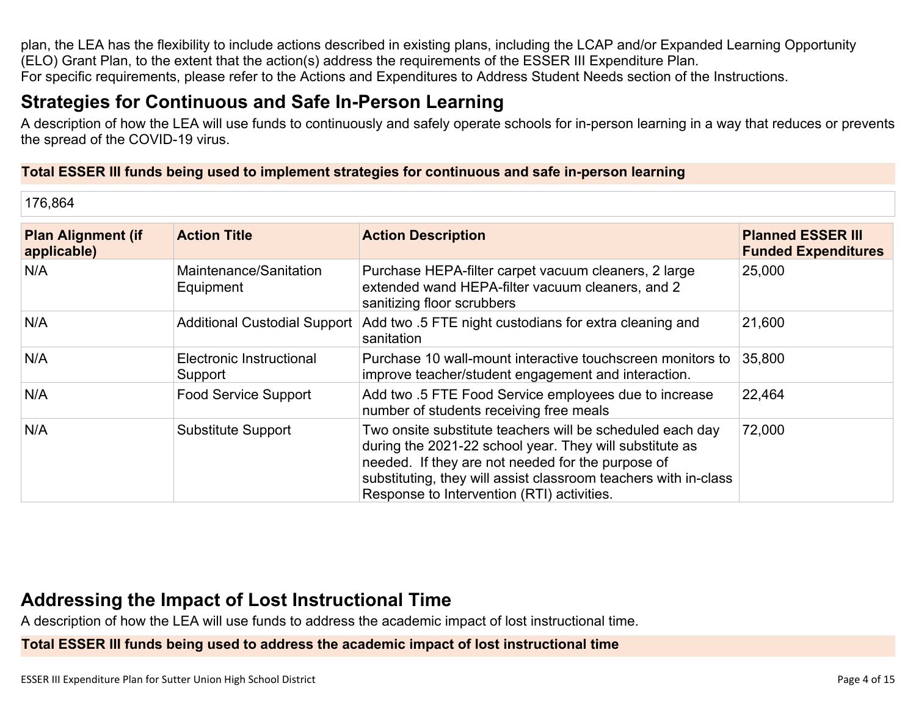plan, the LEA has the flexibility to include actions described in existing plans, including the LCAP and/or Expanded Learning Opportunity (ELO) Grant Plan, to the extent that the action(s) address the requirements of the ESSER III Expenditure Plan. For specific requirements, please refer to the Actions and Expenditures to Address Student Needs section of the Instructions.

# **Strategies for [Continuous](#page-12-1) and Safe In-Person Learning**

A description of how the LEA will use funds to continuously and safely operate schools for in-person learning in a way that reduces or prevents the spread of the COVID-19 virus.

#### **Total ESSER III funds being used to implement strategies for continuous and safe in-person learning**

176,864

| <b>Plan Alignment (if</b><br>applicable) | <b>Action Title</b>                 | <b>Action Description</b>                                                                                                                                                                                                                                                                  | <b>Planned ESSER III</b><br><b>Funded Expenditures</b> |
|------------------------------------------|-------------------------------------|--------------------------------------------------------------------------------------------------------------------------------------------------------------------------------------------------------------------------------------------------------------------------------------------|--------------------------------------------------------|
| N/A                                      | Maintenance/Sanitation<br>Equipment | Purchase HEPA-filter carpet vacuum cleaners, 2 large<br>extended wand HEPA-filter vacuum cleaners, and 2<br>sanitizing floor scrubbers                                                                                                                                                     | 25,000                                                 |
| N/A                                      | <b>Additional Custodial Support</b> | Add two .5 FTE night custodians for extra cleaning and<br>sanitation                                                                                                                                                                                                                       | 21,600                                                 |
| N/A                                      | Electronic Instructional<br>Support | Purchase 10 wall-mount interactive touchscreen monitors to<br>improve teacher/student engagement and interaction.                                                                                                                                                                          | 35,800                                                 |
| N/A                                      | <b>Food Service Support</b>         | Add two .5 FTE Food Service employees due to increase<br>number of students receiving free meals                                                                                                                                                                                           | 22,464                                                 |
| N/A                                      | <b>Substitute Support</b>           | Two onsite substitute teachers will be scheduled each day<br>during the 2021-22 school year. They will substitute as<br>needed. If they are not needed for the purpose of<br>substituting, they will assist classroom teachers with in-class<br>Response to Intervention (RTI) activities. | 72,000                                                 |

## **Addressing the Impact of Lost [Instructional](#page-13-0) Tim[e](#page-13-0)**

A description of how the LEA will use funds to address the academic impact of lost instructional time.

**Total ESSER III funds being used to address the academic impact of lost instructional time**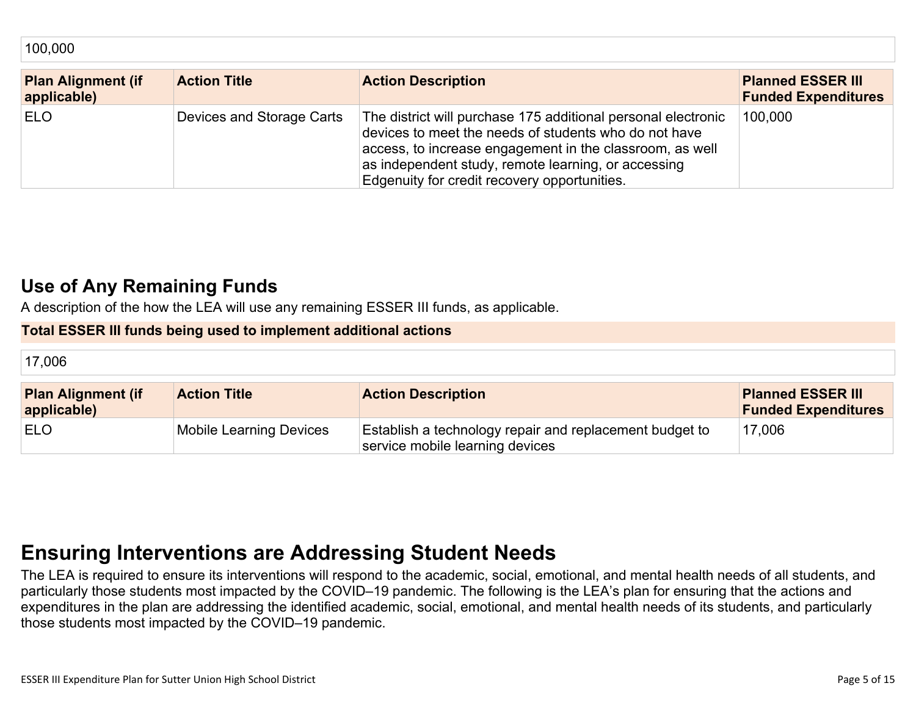| TUU.UUU                                  |                           |                                                                                                                                                                                                                                                                                           |                                                        |
|------------------------------------------|---------------------------|-------------------------------------------------------------------------------------------------------------------------------------------------------------------------------------------------------------------------------------------------------------------------------------------|--------------------------------------------------------|
| <b>Plan Alignment (if</b><br>applicable) | <b>Action Title</b>       | <b>Action Description</b>                                                                                                                                                                                                                                                                 | <b>Planned ESSER III</b><br><b>Funded Expenditures</b> |
| <b>ELO</b>                               | Devices and Storage Carts | The district will purchase 175 additional personal electronic<br>devices to meet the needs of students who do not have<br>access, to increase engagement in the classroom, as well<br>as independent study, remote learning, or accessing<br>Edgenuity for credit recovery opportunities. | 100,000                                                |

## **Use of Any [Remaining](#page-13-1) Fund[s](#page-13-1)**

100,000

A description of the how the LEA will use any remaining ESSER III funds, as applicable.

### **Total ESSER III funds being used to implement additional actions**

| 17,006                                   |                                |                                                                                            |                                                        |
|------------------------------------------|--------------------------------|--------------------------------------------------------------------------------------------|--------------------------------------------------------|
| <b>Plan Alignment (if</b><br>applicable) | <b>Action Title</b>            | <b>Action Description</b>                                                                  | <b>Planned ESSER III</b><br><b>Funded Expenditures</b> |
| <b>ELO</b>                               | <b>Mobile Learning Devices</b> | Establish a technology repair and replacement budget to<br>service mobile learning devices | 17,006                                                 |

# **Ensuring [Interventions](#page-13-2) are Addressing Student Need[s](#page-13-2)**

The LEA is required to ensure its interventions will respond to the academic, social, emotional, and mental health needs of all students, and particularly those students most impacted by the COVID–19 pandemic. The following is the LEA's plan for ensuring that the actions and expenditures in the plan are addressing the identified academic, social, emotional, and mental health needs of its students, and particularly those students most impacted by the COVID–19 pandemic.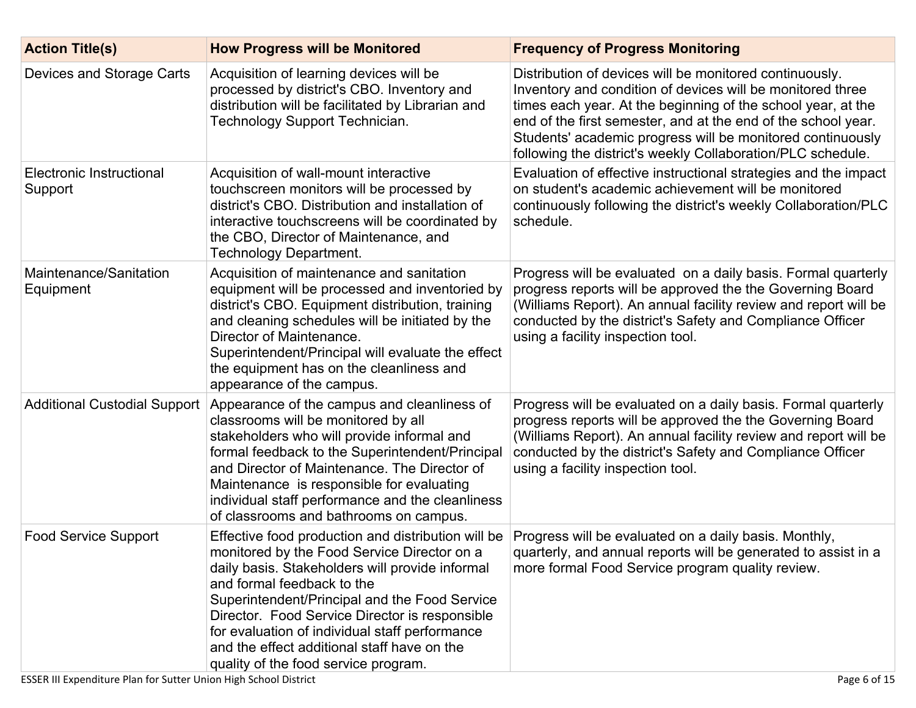| <b>Action Title(s)</b>              | <b>How Progress will be Monitored</b>                                                                                                                                                                                                                                                                                                                                                                                          | <b>Frequency of Progress Monitoring</b>                                                                                                                                                                                                                                                                                                                                             |
|-------------------------------------|--------------------------------------------------------------------------------------------------------------------------------------------------------------------------------------------------------------------------------------------------------------------------------------------------------------------------------------------------------------------------------------------------------------------------------|-------------------------------------------------------------------------------------------------------------------------------------------------------------------------------------------------------------------------------------------------------------------------------------------------------------------------------------------------------------------------------------|
| Devices and Storage Carts           | Acquisition of learning devices will be<br>processed by district's CBO. Inventory and<br>distribution will be facilitated by Librarian and<br>Technology Support Technician.                                                                                                                                                                                                                                                   | Distribution of devices will be monitored continuously.<br>Inventory and condition of devices will be monitored three<br>times each year. At the beginning of the school year, at the<br>end of the first semester, and at the end of the school year.<br>Students' academic progress will be monitored continuously<br>following the district's weekly Collaboration/PLC schedule. |
| Electronic Instructional<br>Support | Acquisition of wall-mount interactive<br>touchscreen monitors will be processed by<br>district's CBO. Distribution and installation of<br>interactive touchscreens will be coordinated by<br>the CBO, Director of Maintenance, and<br><b>Technology Department.</b>                                                                                                                                                            | Evaluation of effective instructional strategies and the impact<br>on student's academic achievement will be monitored<br>continuously following the district's weekly Collaboration/PLC<br>schedule.                                                                                                                                                                               |
| Maintenance/Sanitation<br>Equipment | Acquisition of maintenance and sanitation<br>equipment will be processed and inventoried by<br>district's CBO. Equipment distribution, training<br>and cleaning schedules will be initiated by the<br>Director of Maintenance.<br>Superintendent/Principal will evaluate the effect<br>the equipment has on the cleanliness and<br>appearance of the campus.                                                                   | Progress will be evaluated on a daily basis. Formal quarterly<br>progress reports will be approved the the Governing Board<br>(Williams Report). An annual facility review and report will be<br>conducted by the district's Safety and Compliance Officer<br>using a facility inspection tool.                                                                                     |
| <b>Additional Custodial Support</b> | Appearance of the campus and cleanliness of<br>classrooms will be monitored by all<br>stakeholders who will provide informal and<br>formal feedback to the Superintendent/Principal<br>and Director of Maintenance. The Director of<br>Maintenance is responsible for evaluating<br>individual staff performance and the cleanliness<br>of classrooms and bathrooms on campus.                                                 | Progress will be evaluated on a daily basis. Formal quarterly<br>progress reports will be approved the the Governing Board<br>(Williams Report). An annual facility review and report will be<br>conducted by the district's Safety and Compliance Officer<br>using a facility inspection tool.                                                                                     |
| <b>Food Service Support</b>         | Effective food production and distribution will be<br>monitored by the Food Service Director on a<br>daily basis. Stakeholders will provide informal<br>and formal feedback to the<br>Superintendent/Principal and the Food Service<br>Director. Food Service Director is responsible<br>for evaluation of individual staff performance<br>and the effect additional staff have on the<br>quality of the food service program. | Progress will be evaluated on a daily basis. Monthly,<br>quarterly, and annual reports will be generated to assist in a<br>more formal Food Service program quality review.                                                                                                                                                                                                         |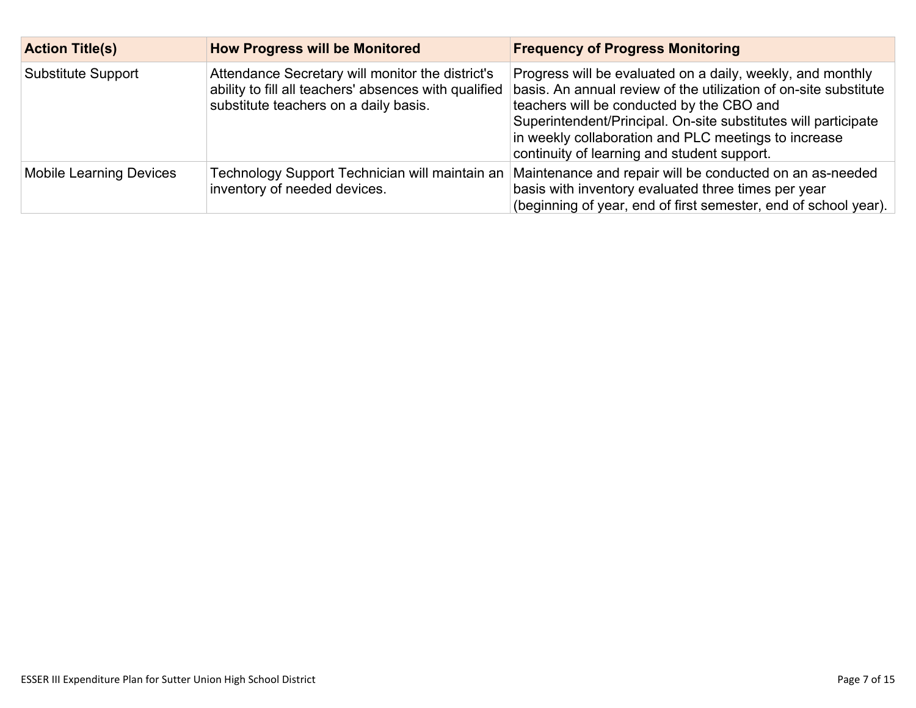| <b>Action Title(s)</b>         | <b>How Progress will be Monitored</b>                                                                                                              | <b>Frequency of Progress Monitoring</b>                                                                                                                                                                                                                                                                                                              |
|--------------------------------|----------------------------------------------------------------------------------------------------------------------------------------------------|------------------------------------------------------------------------------------------------------------------------------------------------------------------------------------------------------------------------------------------------------------------------------------------------------------------------------------------------------|
| Substitute Support             | Attendance Secretary will monitor the district's<br>ability to fill all teachers' absences with qualified<br>substitute teachers on a daily basis. | Progress will be evaluated on a daily, weekly, and monthly<br>basis. An annual review of the utilization of on-site substitute<br>teachers will be conducted by the CBO and<br>Superintendent/Principal. On-site substitutes will participate<br>in weekly collaboration and PLC meetings to increase<br>continuity of learning and student support. |
| <b>Mobile Learning Devices</b> | Technology Support Technician will maintain an<br>inventory of needed devices.                                                                     | Maintenance and repair will be conducted on an as-needed<br>basis with inventory evaluated three times per year<br>(beginning of year, end of first semester, end of school year).                                                                                                                                                                   |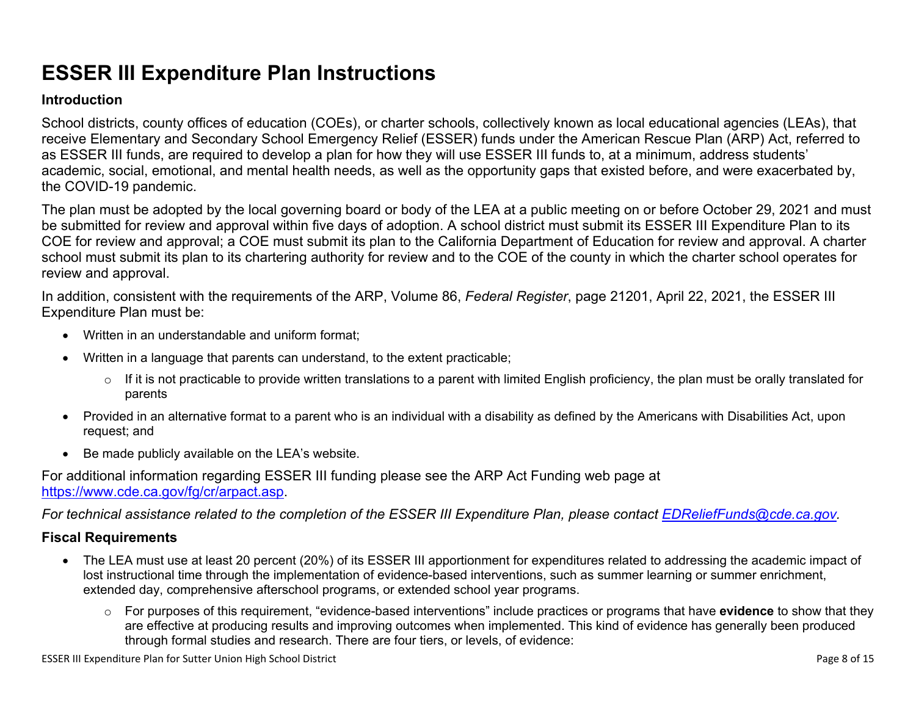# **ESSER III Expenditure Plan Instructions**

#### **Introduction**

School districts, county offices of education (COEs), or charter schools, collectively known as local educational agencies (LEAs), that receive Elementary and Secondary School Emergency Relief (ESSER) funds under the American Rescue Plan (ARP) Act, referred to as ESSER III funds, are required to develop a plan for how they will use ESSER III funds to, at a minimum, address students' academic, social, emotional, and mental health needs, as well as the opportunity gaps that existed before, and were exacerbated by, the COVID-19 pandemic.

The plan must be adopted by the local governing board or body of the LEA at a public meeting on or before October 29, 2021 and must be submitted for review and approval within five days of adoption. A school district must submit its ESSER III Expenditure Plan to its COE for review and approval; a COE must submit its plan to the California Department of Education for review and approval. A charter school must submit its plan to its chartering authority for review and to the COE of the county in which the charter school operates for review and approval.

In addition, consistent with the requirements of the ARP, Volume 86, *Federal Register*, page 21201, April 22, 2021, the ESSER III Expenditure Plan must be:

- Written in an understandable and uniform format;
- Written in a language that parents can understand, to the extent practicable;
	- $\circ$  If it is not practicable to provide written translations to a parent with limited English proficiency, the plan must be orally translated for parents
- Provided in an alternative format to a parent who is an individual with a disability as defined by the Americans with Disabilities Act, upon request; and
- Be made publicly available on the LEA's website.

For additional information regarding ESSER III funding please see the ARP Act Funding web page at <https://www.cde.ca.gov/fg/cr/arpact.asp>.

For technical assistance related to the completion of the ESSER III Expenditure Plan, please contact [EDReliefFunds@cde.ca.gov](mailto:EDReliefFunds@cde.ca.gov).

### **Fiscal Requirements**

- The LEA must use at least 20 percent (20%) of its ESSER III apportionment for expenditures related to addressing the academic impact of lost instructional time through the implementation of evidence-based interventions, such as summer learning or summer enrichment, extended day, comprehensive afterschool programs, or extended school year programs.
	- o For purposes of this requirement, "evidence-based interventions" include practices or programs that have **evidence** to show that they are effective at producing results and improving outcomes when implemented. This kind of evidence has generally been produced through formal studies and research. There are four tiers, or levels, of evidence:

ESSER III Expenditure Plan for Sutter Union High School District Page 8 of 15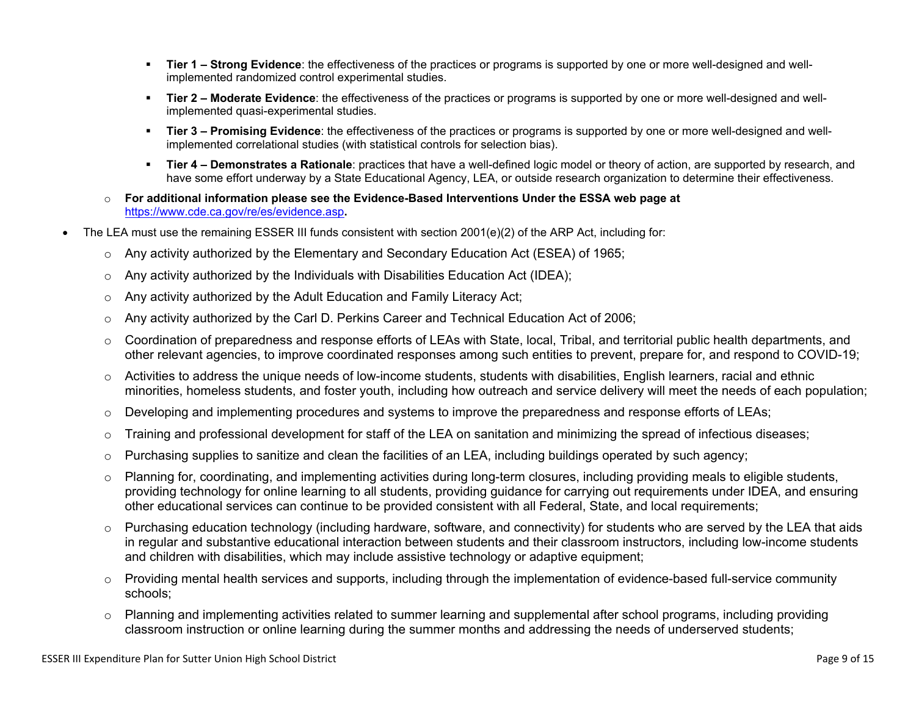- **Tier 1 – Strong Evidence**: the effectiveness of the practices or programs is supported by one or more well-designed and wellimplemented randomized control experimental studies.
- **Tier 2 – Moderate Evidence**: the effectiveness of the practices or programs is supported by one or more well-designed and wellimplemented quasi-experimental studies.
- **Tier 3 – Promising Evidence**: the effectiveness of the practices or programs is supported by one or more well-designed and wellimplemented correlational studies (with statistical controls for selection bias).
- **Tier 4 – Demonstrates a Rationale**: practices that have a well-defined logic model or theory of action, are supported by research, and have some effort underway by a State Educational Agency, LEA, or outside research organization to determine their effectiveness.
- o **For additional information please see the Evidence-Based Interventions Under the ESSA web page at** <https://www.cde.ca.gov/re/es/evidence.asp>**.**
- The LEA must use the remaining ESSER III funds consistent with section 2001(e)(2) of the ARP Act, including for:
	- $\circ$  Any activity authorized by the Elementary and Secondary Education Act (ESEA) of 1965;
	- $\circ$  Any activity authorized by the Individuals with Disabilities Education Act (IDEA);
	- o Any activity authorized by the Adult Education and Family Literacy Act;
	- $\circ$  Any activity authorized by the Carl D. Perkins Career and Technical Education Act of 2006;
	- $\circ$  Coordination of preparedness and response efforts of LEAs with State, local, Tribal, and territorial public health departments, and other relevant agencies, to improve coordinated responses among such entities to prevent, prepare for, and respond to COVID-19;
	- $\circ$  Activities to address the unique needs of low-income students, students with disabilities, English learners, racial and ethnic minorities, homeless students, and foster youth, including how outreach and service delivery will meet the needs of each population;
	- o Developing and implementing procedures and systems to improve the preparedness and response efforts of LEAs;
	- $\circ$  Training and professional development for staff of the LEA on sanitation and minimizing the spread of infectious diseases;
	- $\circ$  Purchasing supplies to sanitize and clean the facilities of an LEA, including buildings operated by such agency;
	- $\circ$  Planning for, coordinating, and implementing activities during long-term closures, including providing meals to eligible students, providing technology for online learning to all students, providing guidance for carrying out requirements under IDEA, and ensuring other educational services can continue to be provided consistent with all Federal, State, and local requirements;
	- $\circ$  Purchasing education technology (including hardware, software, and connectivity) for students who are served by the LEA that aids in regular and substantive educational interaction between students and their classroom instructors, including low-income students and children with disabilities, which may include assistive technology or adaptive equipment;
	- $\circ$  Providing mental health services and supports, including through the implementation of evidence-based full-service community schools;
	- o Planning and implementing activities related to summer learning and supplemental after school programs, including providing classroom instruction or online learning during the summer months and addressing the needs of underserved students;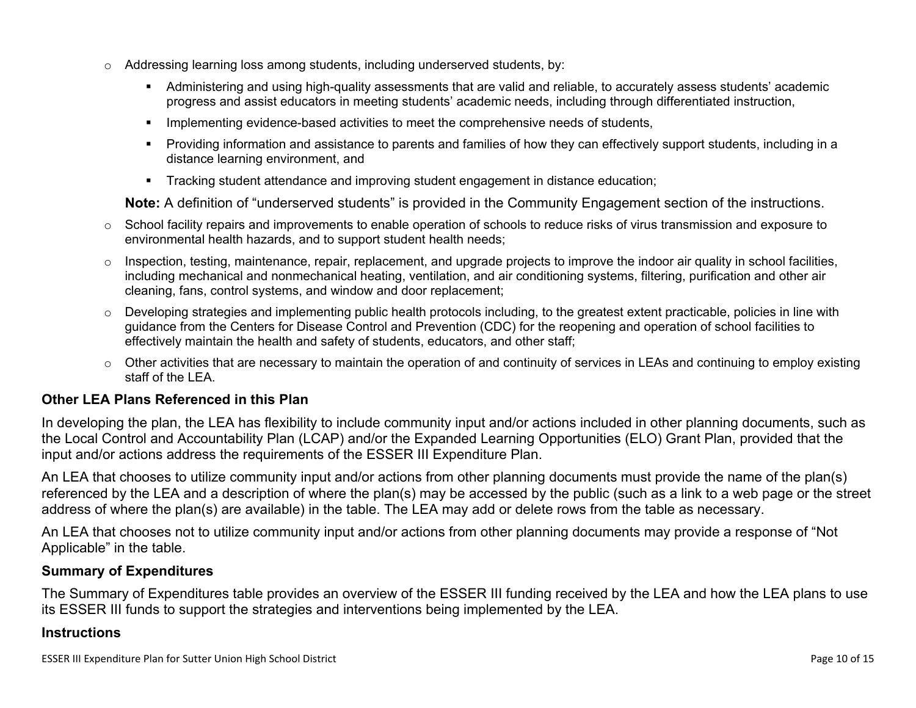- $\circ$  Addressing learning loss among students, including underserved students, by:
	- Administering and using high-quality assessments that are valid and reliable, to accurately assess students' academic progress and assist educators in meeting students' academic needs, including through differentiated instruction,
	- **IMPLEMENTER IMPLEMENT LIME STARK IMPLEMENT IMPLEMENT IMPLY** Implementing evidents,
	- Providing information and assistance to parents and families of how they can effectively support students, including in a distance learning environment, and
	- Tracking student attendance and improving student engagement in distance education;

**Note:** A definition of "underserved students" is provided in the Community Engagement section of the instructions.

- $\circ$  School facility repairs and improvements to enable operation of schools to reduce risks of virus transmission and exposure to environmental health hazards, and to support student health needs;
- $\circ$  Inspection, testing, maintenance, repair, replacement, and upgrade projects to improve the indoor air quality in school facilities, including mechanical and nonmechanical heating, ventilation, and air conditioning systems, filtering, purification and other air cleaning, fans, control systems, and window and door replacement;
- $\circ$  Developing strategies and implementing public health protocols including, to the greatest extent practicable, policies in line with guidance from the Centers for Disease Control and Prevention (CDC) for the reopening and operation of school facilities to effectively maintain the health and safety of students, educators, and other staff;
- $\circ$  Other activities that are necessary to maintain the operation of and continuity of services in LEAs and continuing to employ existing staff of the LEA.

### <span id="page-9-0"></span>**Other LEA Plans Referenced in this Plan**

In developing the plan, the LEA has flexibility to include community input and/or actions included in other planning documents, such as the Local Control and Accountability Plan (LCAP) and/or the Expanded Learning Opportunities (ELO) Grant Plan, provided that the input and/or actions address the requirements of the ESSER III Expenditure Plan.

An LEA that chooses to utilize community input and/or actions from other planning documents must provide the name of the plan(s) referenced by the LEA and a description of where the plan(s) may be accessed by the public (such as a link to a web page or the street address of where the plan(s) are available) in the table. The LEA may add or delete rows from the table as necessary.

An LEA that chooses not to utilize community input and/or actions from other planning documents may provide a response of "Not Applicable" in the table.

#### <span id="page-9-1"></span>**Summary of Expenditures**

The Summary of Expenditures table provides an overview of the ESSER III funding received by the LEA and how the LEA plans to use its ESSER III funds to support the strategies and interventions being implemented by the LEA.

#### **Instructions**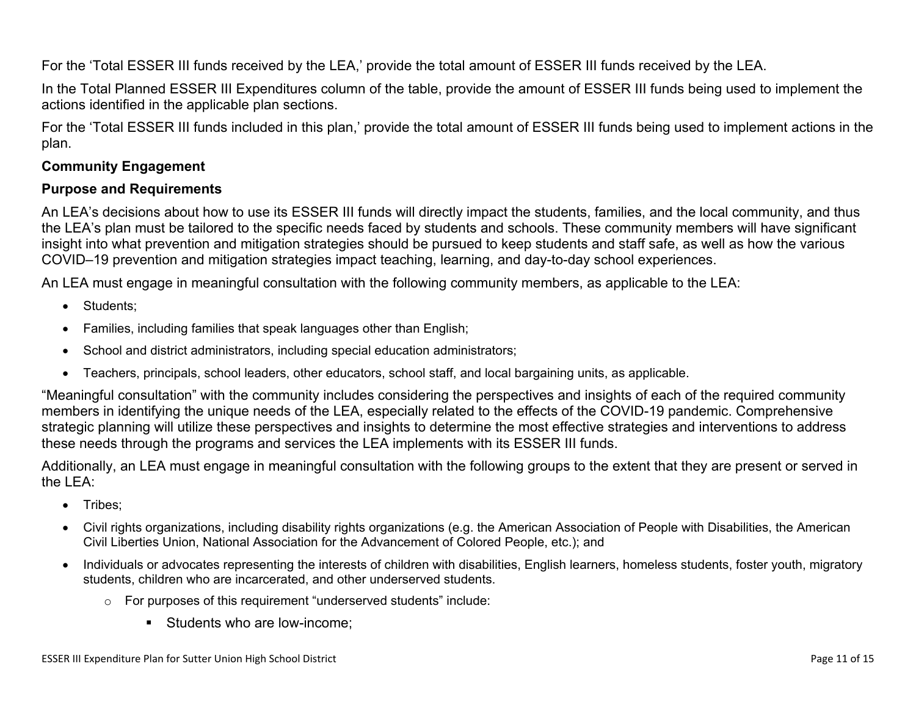For the 'Total ESSER III funds received by the LEA,' provide the total amount of ESSER III funds received by the LEA.

In the Total Planned ESSER III Expenditures column of the table, provide the amount of ESSER III funds being used to implement the actions identified in the applicable plan sections.

For the 'Total ESSER III funds included in this plan,' provide the total amount of ESSER III funds being used to implement actions in the plan.

### <span id="page-10-0"></span>**Community Engagement**

### **Purpose and Requirements**

An LEA's decisions about how to use its ESSER III funds will directly impact the students, families, and the local community, and thus the LEA's plan must be tailored to the specific needs faced by students and schools. These community members will have significant insight into what prevention and mitigation strategies should be pursued to keep students and staff safe, as well as how the various COVID–19 prevention and mitigation strategies impact teaching, learning, and day-to-day school experiences.

An LEA must engage in meaningful consultation with the following community members, as applicable to the LEA:

- Students:
- Families, including families that speak languages other than English;
- School and district administrators, including special education administrators;
- Teachers, principals, school leaders, other educators, school staff, and local bargaining units, as applicable.

"Meaningful consultation" with the community includes considering the perspectives and insights of each of the required community members in identifying the unique needs of the LEA, especially related to the effects of the COVID-19 pandemic. Comprehensive strategic planning will utilize these perspectives and insights to determine the most effective strategies and interventions to address these needs through the programs and services the LEA implements with its ESSER III funds.

Additionally, an LEA must engage in meaningful consultation with the following groups to the extent that they are present or served in the LEA:

- Tribes;
- Civil rights organizations, including disability rights organizations (e.g. the American Association of People with Disabilities, the American Civil Liberties Union, National Association for the Advancement of Colored People, etc.); and
- Individuals or advocates representing the interests of children with disabilities, English learners, homeless students, foster youth, migratory students, children who are incarcerated, and other underserved students.
	- o For purposes of this requirement "underserved students" include:
		- **Students who are low-income:**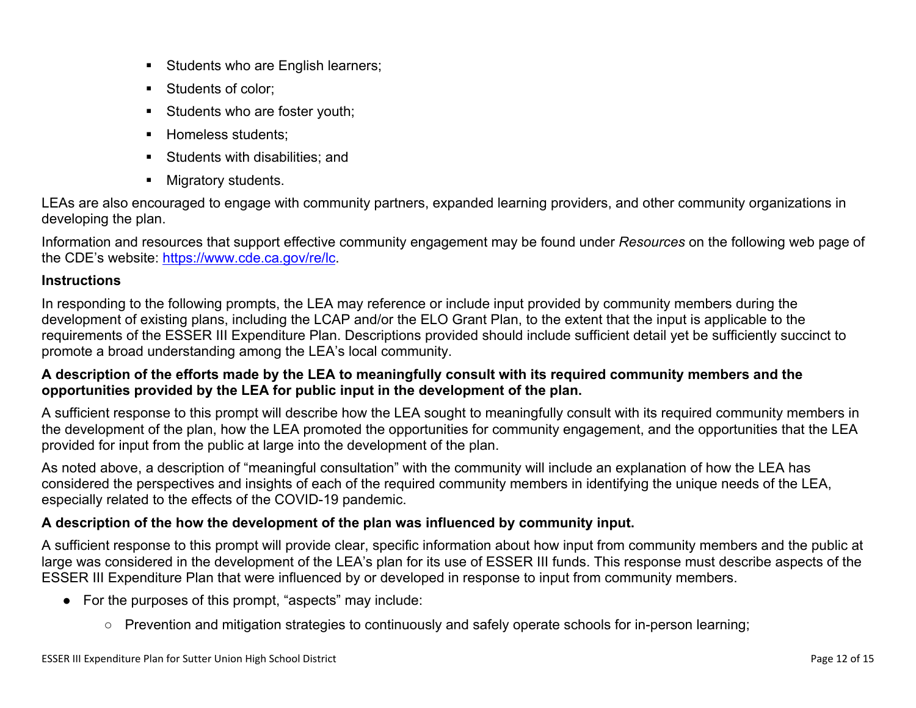- Students who are English learners;
- Students of color:
- Students who are foster youth;
- Homeless students;
- **Students with disabilities: and**
- **Migratory students.**

LEAs are also encouraged to engage with community partners, expanded learning providers, and other community organizations in developing the plan.

Information and resources that support effective community engagement may be found under *Resources* on the following web page of the CDE's website: <https://www.cde.ca.gov/re/lc>.

### **Instructions**

In responding to the following prompts, the LEA may reference or include input provided by community members during the development of existing plans, including the LCAP and/or the ELO Grant Plan, to the extent that the input is applicable to the requirements of the ESSER III Expenditure Plan. Descriptions provided should include sufficient detail yet be sufficiently succinct to promote a broad understanding among the LEA's local community.

### A description of the efforts made by the LEA to meaningfully consult with its required community members and the **opportunities provided by the LEA for public input in the development of the plan.**

A sufficient response to this prompt will describe how the LEA sought to meaningfully consult with its required community members in the development of the plan, how the LEA promoted the opportunities for community engagement, and the opportunities that the LEA provided for input from the public at large into the development of the plan.

As noted above, a description of "meaningful consultation" with the community will include an explanation of how the LEA has considered the perspectives and insights of each of the required community members in identifying the unique needs of the LEA, especially related to the effects of the COVID-19 pandemic.

## **A description of the how the development of the plan was influenced by community input.**

A sufficient response to this prompt will provide clear, specific information about how input from community members and the public at large was considered in the development of the LEA's plan for its use of ESSER III funds. This response must describe aspects of the ESSER III Expenditure Plan that were influenced by or developed in response to input from community members.

- For the purposes of this prompt, "aspects" may include:
	- Prevention and mitigation strategies to continuously and safely operate schools for in-person learning;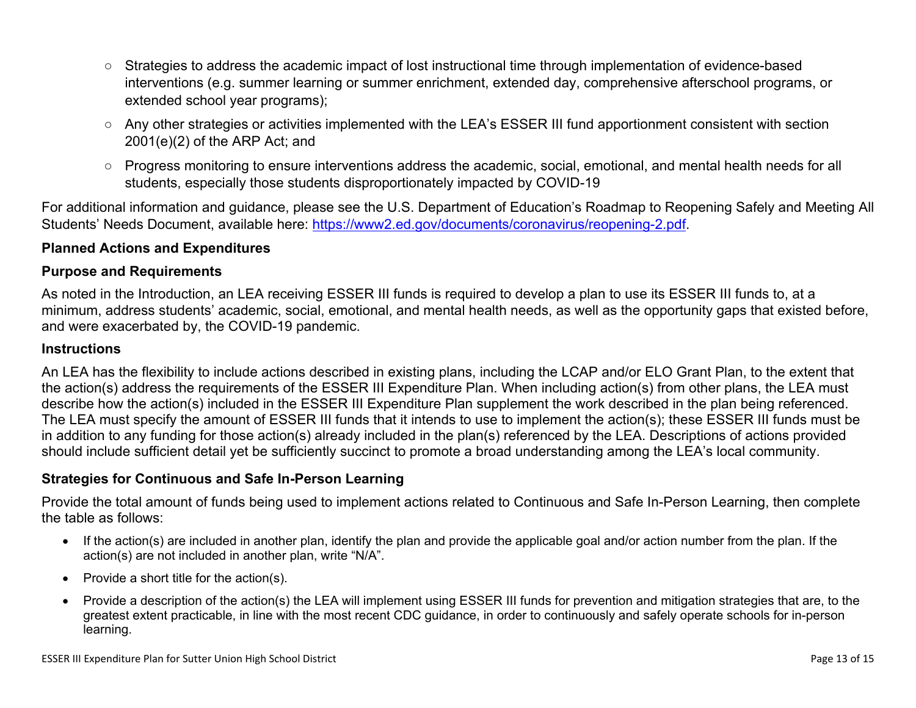- Strategies to address the academic impact of lost instructional time through implementation of evidence-based interventions (e.g. summer learning or summer enrichment, extended day, comprehensive afterschool programs, or extended school year programs);
- Any other strategies or activities implemented with the LEA's ESSER III fund apportionment consistent with section 2001(e)(2) of the ARP Act; and
- Progress monitoring to ensure interventions address the academic, social, emotional, and mental health needs for all students, especially those students disproportionately impacted by COVID-19

For additional information and guidance, please see the U.S. Department of Education's Roadmap to Reopening Safely and Meeting All Students' Needs Document, available here: [https://www2.ed.gov/documents/coronavirus/reopening-2.pdf.](https://www2.ed.gov/documents/coronavirus/reopening-2.pdf)

### <span id="page-12-0"></span>**Planned Actions and Expenditures**

#### **Purpose and Requirements**

As noted in the Introduction, an LEA receiving ESSER III funds is required to develop a plan to use its ESSER III funds to, at a minimum, address students' academic, social, emotional, and mental health needs, as well as the opportunity gaps that existed before, and were exacerbated by, the COVID-19 pandemic.

#### **Instructions**

An LEA has the flexibility to include actions described in existing plans, including the LCAP and/or ELO Grant Plan, to the extent that the action(s) address the requirements of the ESSER III Expenditure Plan. When including action(s) from other plans, the LEA must describe how the action(s) included in the ESSER III Expenditure Plan supplement the work described in the plan being referenced. The LEA must specify the amount of ESSER III funds that it intends to use to implement the action(s); these ESSER III funds must be in addition to any funding for those action(s) already included in the plan(s) referenced by the LEA. Descriptions of actions provided should include sufficient detail yet be sufficiently succinct to promote a broad understanding among the LEA's local community.

#### <span id="page-12-1"></span>**Strategies for Continuous and Safe In-Person Learning**

Provide the total amount of funds being used to implement actions related to Continuous and Safe In-Person Learning, then complete the table as follows:

- If the action(s) are included in another plan, identify the plan and provide the applicable goal and/or action number from the plan. If the action(s) are not included in another plan, write "N/A".
- Provide a short title for the  $action(s)$ .
- Provide a description of the action(s) the LEA will implement using ESSER III funds for prevention and mitigation strategies that are, to the greatest extent practicable, in line with the most recent CDC guidance, in order to continuously and safely operate schools for in-person learning.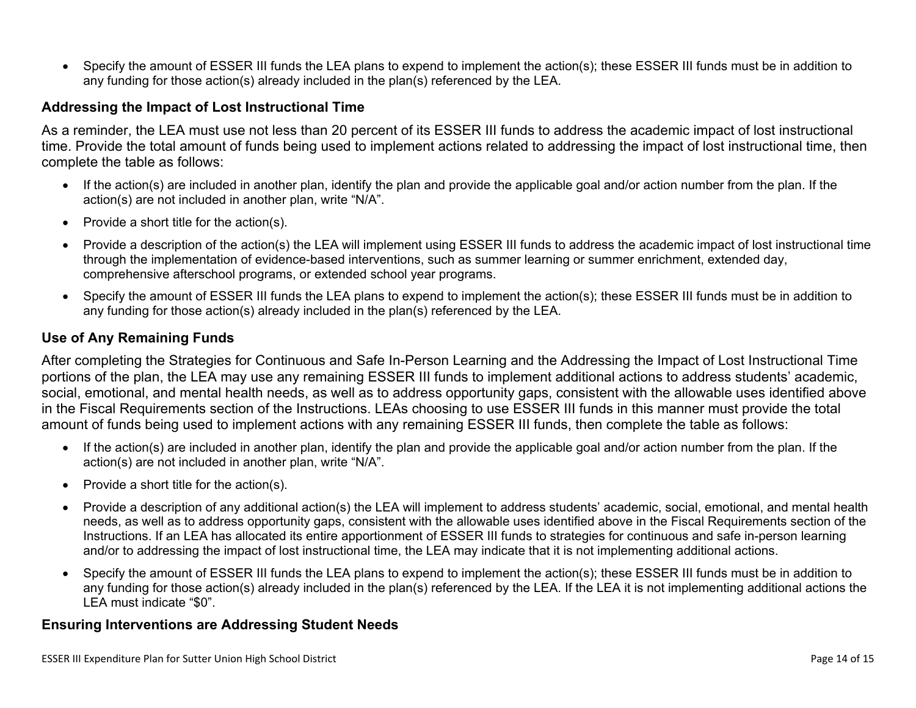Specify the amount of ESSER III funds the LEA plans to expend to implement the action(s); these ESSER III funds must be in addition to any funding for those action(s) already included in the plan(s) referenced by the LEA.

#### <span id="page-13-0"></span>**Addressing the Impact of Lost Instructional Time**

As a reminder, the LEA must use not less than 20 percent of its ESSER III funds to address the academic impact of lost instructional time. Provide the total amount of funds being used to implement actions related to addressing the impact of lost instructional time, then complete the table as follows:

- If the action(s) are included in another plan, identify the plan and provide the applicable goal and/or action number from the plan. If the action(s) are not included in another plan, write "N/A".
- Provide a short title for the  $action(s)$ .
- Provide a description of the action(s) the LEA will implement using ESSER III funds to address the academic impact of lost instructional time through the implementation of evidence-based interventions, such as summer learning or summer enrichment, extended day, comprehensive afterschool programs, or extended school year programs.
- Specify the amount of ESSER III funds the LEA plans to expend to implement the action(s); these ESSER III funds must be in addition to any funding for those action(s) already included in the plan(s) referenced by the LEA.

#### <span id="page-13-1"></span>**Use of Any Remaining Funds**

After completing the Strategies for Continuous and Safe In-Person Learning and the Addressing the Impact of Lost Instructional Time portions of the plan, the LEA may use any remaining ESSER III funds to implement additional actions to address students' academic, social, emotional, and mental health needs, as well as to address opportunity gaps, consistent with the allowable uses identified above in the Fiscal Requirements section of the Instructions. LEAs choosing to use ESSER III funds in this manner must provide the total amount of funds being used to implement actions with any remaining ESSER III funds, then complete the table as follows:

- If the action(s) are included in another plan, identify the plan and provide the applicable goal and/or action number from the plan. If the action(s) are not included in another plan, write "N/A".
- Provide a short title for the  $action(s)$ .
- Provide a description of any additional action(s) the LEA will implement to address students' academic, social, emotional, and mental health needs, as well as to address opportunity gaps, consistent with the allowable uses identified above in the Fiscal Requirements section of the Instructions. If an LEA has allocated its entire apportionment of ESSER III funds to strategies for continuous and safe in-person learning and/or to addressing the impact of lost instructional time, the LEA may indicate that it is not implementing additional actions.
- Specify the amount of ESSER III funds the LEA plans to expend to implement the action(s); these ESSER III funds must be in addition to any funding for those action(s) already included in the plan(s) referenced by the LEA. If the LEA it is not implementing additional actions the LEA must indicate "\$0".

#### <span id="page-13-2"></span>**Ensuring Interventions are Addressing Student Needs**